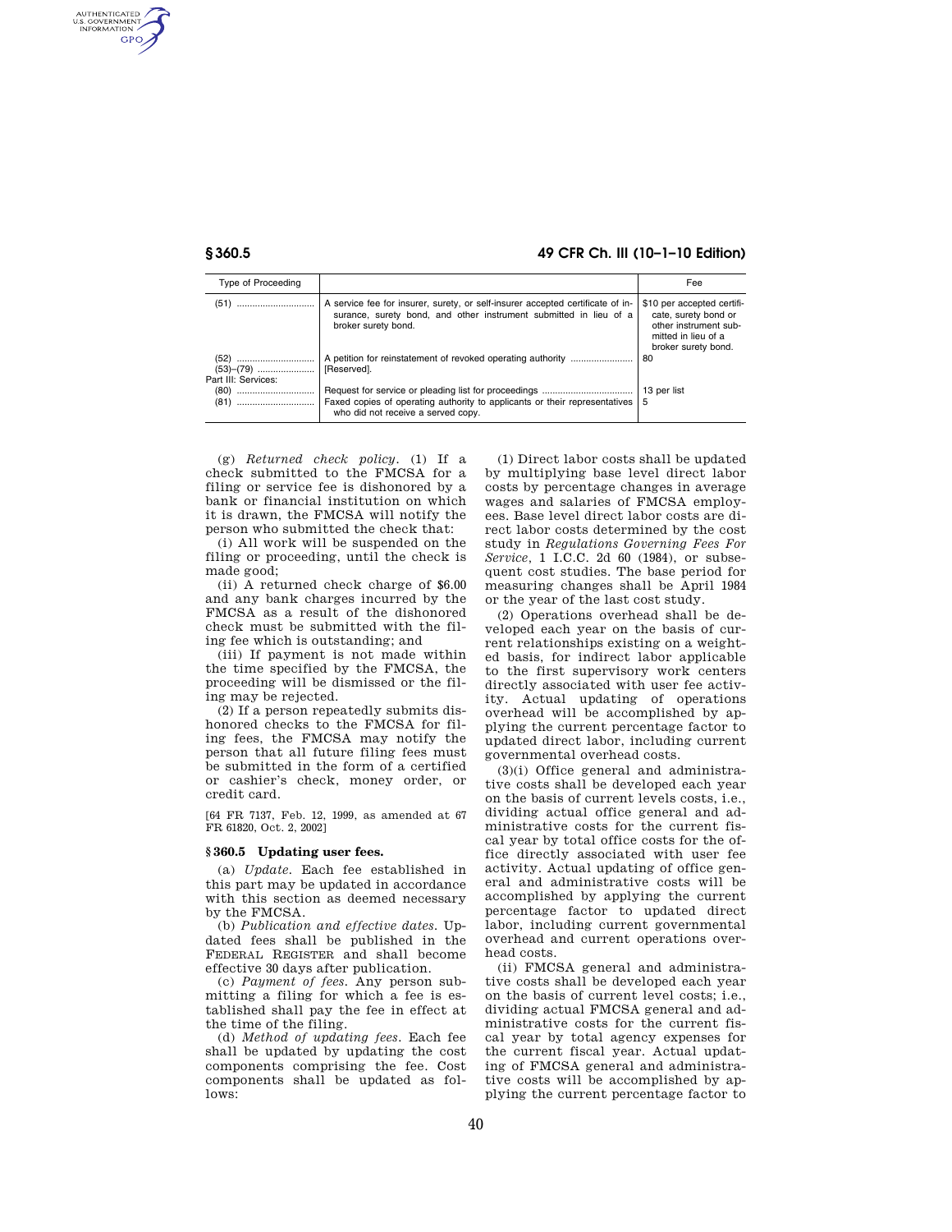AUTHENTICATED<br>U.S. GOVERNMENT<br>INFORMATION GPO

## **§ 360.5 49 CFR Ch. III (10–1–10 Edition)**

| Type of Proceeding  |                                                                                                                                                                            | Fee                                                                                                                       |
|---------------------|----------------------------------------------------------------------------------------------------------------------------------------------------------------------------|---------------------------------------------------------------------------------------------------------------------------|
|                     | A service fee for insurer, surety, or self-insurer accepted certificate of in-<br>surance, surety bond, and other instrument submitted in lieu of a<br>broker surety bond. | \$10 per accepted certifi-<br>cate, surety bond or<br>other instrument sub-<br>mitted in lieu of a<br>broker surety bond. |
| Part III: Services: | [Reserved].                                                                                                                                                                | 80                                                                                                                        |
|                     | Faxed copies of operating authority to applicants or their representatives<br>who did not receive a served copy.                                                           | 13 per list<br>5                                                                                                          |

(g) *Returned check policy.* (1) If a check submitted to the FMCSA for a filing or service fee is dishonored by a bank or financial institution on which it is drawn, the FMCSA will notify the person who submitted the check that:

(i) All work will be suspended on the filing or proceeding, until the check is made good;

(ii) A returned check charge of \$6.00 and any bank charges incurred by the FMCSA as a result of the dishonored check must be submitted with the filing fee which is outstanding; and

(iii) If payment is not made within the time specified by the FMCSA, the proceeding will be dismissed or the filing may be rejected.

(2) If a person repeatedly submits dishonored checks to the FMCSA for filing fees, the FMCSA may notify the person that all future filing fees must be submitted in the form of a certified or cashier's check, money order, or credit card.

[64 FR 7137, Feb. 12, 1999, as amended at 67 FR 61820, Oct. 2, 2002]

#### **§ 360.5 Updating user fees.**

(a) *Update.* Each fee established in this part may be updated in accordance with this section as deemed necessary by the FMCSA.

(b) *Publication and effective dates.* Updated fees shall be published in the FEDERAL REGISTER and shall become effective 30 days after publication.

(c) *Payment of fees.* Any person submitting a filing for which a fee is established shall pay the fee in effect at the time of the filing.

(d) *Method of updating fees.* Each fee shall be updated by updating the cost components comprising the fee. Cost components shall be updated as fol $lows'$ 

(1) Direct labor costs shall be updated by multiplying base level direct labor costs by percentage changes in average wages and salaries of FMCSA employees. Base level direct labor costs are direct labor costs determined by the cost study in *Regulations Governing Fees For Service,* 1 I.C.C. 2d 60 (1984), or subsequent cost studies. The base period for measuring changes shall be April 1984 or the year of the last cost study.

(2) Operations overhead shall be developed each year on the basis of current relationships existing on a weighted basis, for indirect labor applicable to the first supervisory work centers directly associated with user fee activity. Actual updating of operations overhead will be accomplished by applying the current percentage factor to updated direct labor, including current governmental overhead costs.

(3)(i) Office general and administrative costs shall be developed each year on the basis of current levels costs, i.e., dividing actual office general and administrative costs for the current fiscal year by total office costs for the office directly associated with user fee activity. Actual updating of office general and administrative costs will be accomplished by applying the current percentage factor to updated direct labor, including current governmental overhead and current operations overhead costs.

(ii) FMCSA general and administrative costs shall be developed each year on the basis of current level costs; i.e., dividing actual FMCSA general and administrative costs for the current fiscal year by total agency expenses for the current fiscal year. Actual updating of FMCSA general and administrative costs will be accomplished by applying the current percentage factor to